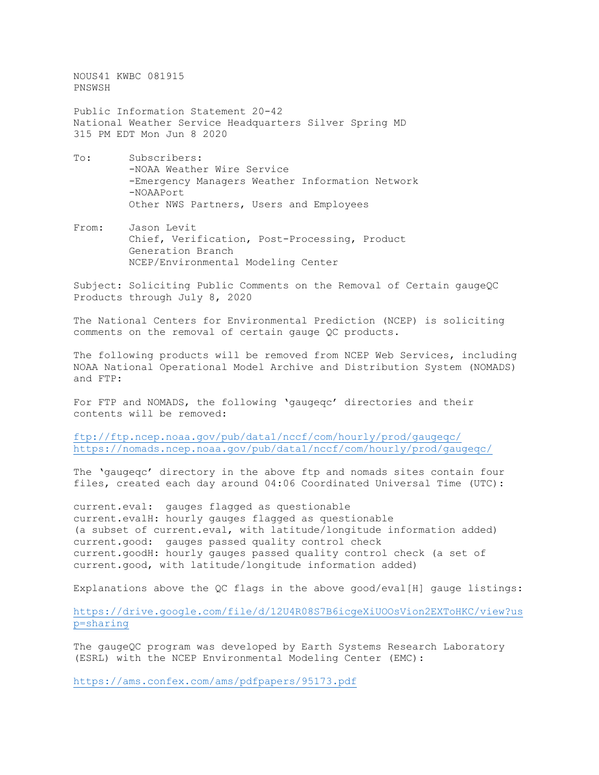NOUS41 KWBC 081915 PNSWSH

Public Information Statement 20-42 National Weather Service Headquarters Silver Spring MD 315 PM EDT Mon Jun 8 2020

- To: Subscribers: -NOAA Weather Wire Service -Emergency Managers Weather Information Network -NOAAPort Other NWS Partners, Users and Employees
- From: Jason Levit Chief, Verification, Post-Processing, Product Generation Branch NCEP/Environmental Modeling Center

Subject: Soliciting Public Comments on the Removal of Certain gaugeQC Products through July 8, 2020

The National Centers for Environmental Prediction (NCEP) is soliciting comments on the removal of certain gauge QC products.

The following products will be removed from NCEP Web Services, including NOAA National Operational Model Archive and Distribution System (NOMADS) and FTP:

For FTP and NOMADS, the following 'gaugeqc' directories and their contents will be removed:

<ftp://ftp.ncep.noaa.gov/pub/data1/nccf/com/hourly/prod/gaugeqc/> <https://nomads.ncep.noaa.gov/pub/data1/nccf/com/hourly/prod/gaugeqc/>

The 'gaugeqc' directory in the above ftp and nomads sites contain four files, created each day around 04:06 Coordinated Universal Time (UTC):

current.eval: gauges flagged as questionable current.evalH: hourly gauges flagged as questionable (a subset of current.eval, with latitude/longitude information added) current.good: gauges passed quality control check current.goodH: hourly gauges passed quality control check (a set of current.good, with latitude/longitude information added)

Explanations above the QC flags in the above good/eval[H] gauge listings:

[https://drive.google.com/file/d/12U4R08S7B6icgeXiUOOsVion2EXToHKC/view?us](https://drive.google.com/file/d/12U4R08S7B6icgeXiUOOsVion2EXToHKC/view?usp=sharing) [p=sharing](https://drive.google.com/file/d/12U4R08S7B6icgeXiUOOsVion2EXToHKC/view?usp=sharing)

The gaugeQC program was developed by Earth Systems Research Laboratory (ESRL) with the NCEP Environmental Modeling Center (EMC):

<https://ams.confex.com/ams/pdfpapers/95173.pdf>